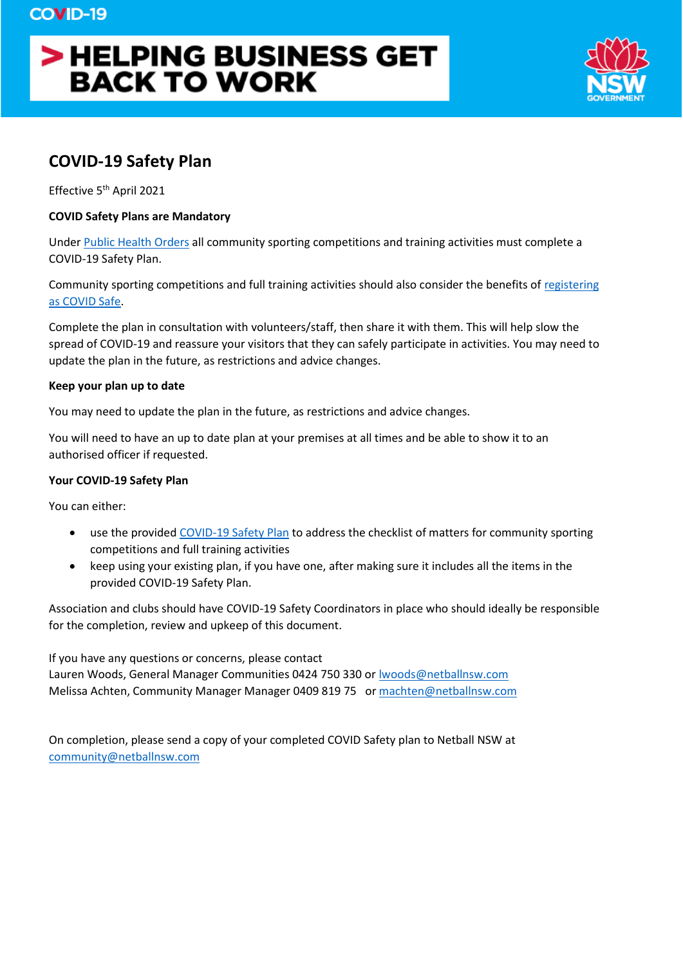# > HELPING BUSINESS GET **BACK TO WORK**



# **COVID-19 Safety Plan**

Effective 5<sup>th</sup> April 2021

### **COVID Safety Plans are Mandatory**

Under [Public Health Orders](https://www.health.nsw.gov.au/Infectious/covid-19/Pages/public-health-orders.aspx) all community sporting competitions and training activities must complete a COVID-19 Safety Plan.

Community sporting competitions and full training activities should also consider the benefits of [registering](https://www.nsw.gov.au/register-your-business-as-covid-safe)  [as COVID Safe.](https://www.nsw.gov.au/register-your-business-as-covid-safe)

Complete the plan in consultation with volunteers/staff, then share it with them. This will help slow the spread of COVID-19 and reassure your visitors that they can safely participate in activities. You may need to update the plan in the future, as restrictions and advice changes.

#### **Keep your plan up to date**

You may need to update the plan in the future, as restrictions and advice changes.

You will need to have an up to date plan at your premises at all times and be able to show it to an authorised officer if requested.

#### **Your COVID-19 Safety Plan**

You can either:

- use the provide[d COVID-19 Safety Plan](https://www.nsw.gov.au/form/covid-safety-plan/community-sporting-competitions-and-full-training-activities) to address the checklist of matters for community sporting competitions and full training activities
- keep using your existing plan, if you have one, after making sure it includes all the items in the provided COVID-19 Safety Plan.

Association and clubs should have COVID-19 Safety Coordinators in place who should ideally be responsible for the completion, review and upkeep of this document.

If you have any questions or concerns, please contact Lauren Woods, General Manager Communities 0424 750 330 or [lwoods@netballnsw.com](mailto:lwoods@netballnsw.com) Melissa Achten, Community Manager Manager 0409 819 75 o[r machten@netballnsw.com](mailto:machten@netballnsw.com)

On completion, please send a copy of your completed COVID Safety plan to Netball NSW at [community@netballnsw.com](mailto:community@netballnsw.com)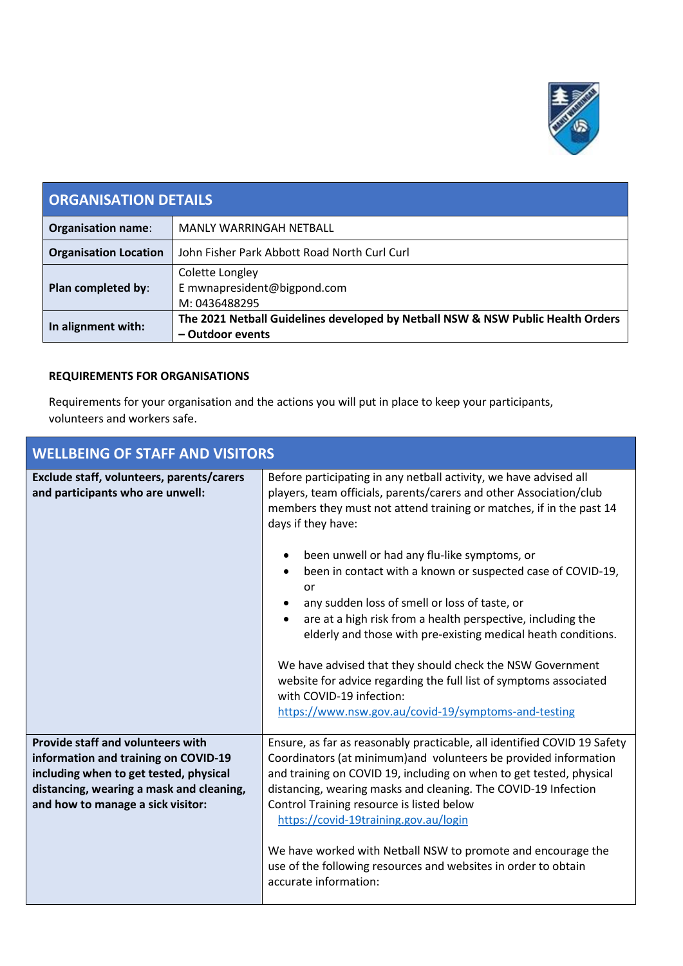

| <b>ORGANISATION DETAILS</b>  |                                                                                                     |
|------------------------------|-----------------------------------------------------------------------------------------------------|
| <b>Organisation name:</b>    | MANLY WARRINGAH NETBALL                                                                             |
| <b>Organisation Location</b> | John Fisher Park Abbott Road North Curl Curl                                                        |
| Plan completed by:           | Colette Longley<br>E mwnapresident@bigpond.com<br>M: 0436488295                                     |
| In alignment with:           | The 2021 Netball Guidelines developed by Netball NSW & NSW Public Health Orders<br>- Outdoor events |

## **REQUIREMENTS FOR ORGANISATIONS**

Requirements for your organisation and the actions you will put in place to keep your participants, volunteers and workers safe.

| <b>WELLBEING OF STAFF AND VISITORS</b>                                                                                                                                                                      |                                                                                                                                                                                                                                                                                                                                                                                                                                                                                                                                                                                                                                                                                                                                                                                            |
|-------------------------------------------------------------------------------------------------------------------------------------------------------------------------------------------------------------|--------------------------------------------------------------------------------------------------------------------------------------------------------------------------------------------------------------------------------------------------------------------------------------------------------------------------------------------------------------------------------------------------------------------------------------------------------------------------------------------------------------------------------------------------------------------------------------------------------------------------------------------------------------------------------------------------------------------------------------------------------------------------------------------|
| Exclude staff, volunteers, parents/carers<br>and participants who are unwell:                                                                                                                               | Before participating in any netball activity, we have advised all<br>players, team officials, parents/carers and other Association/club<br>members they must not attend training or matches, if in the past 14<br>days if they have:<br>been unwell or had any flu-like symptoms, or<br>been in contact with a known or suspected case of COVID-19,<br>$\bullet$<br>or<br>any sudden loss of smell or loss of taste, or<br>are at a high risk from a health perspective, including the<br>$\bullet$<br>elderly and those with pre-existing medical heath conditions.<br>We have advised that they should check the NSW Government<br>website for advice regarding the full list of symptoms associated<br>with COVID-19 infection:<br>https://www.nsw.gov.au/covid-19/symptoms-and-testing |
| <b>Provide staff and volunteers with</b><br>information and training on COVID-19<br>including when to get tested, physical<br>distancing, wearing a mask and cleaning,<br>and how to manage a sick visitor: | Ensure, as far as reasonably practicable, all identified COVID 19 Safety<br>Coordinators (at minimum) and volunteers be provided information<br>and training on COVID 19, including on when to get tested, physical<br>distancing, wearing masks and cleaning. The COVID-19 Infection<br>Control Training resource is listed below<br>https://covid-19training.gov.au/login<br>We have worked with Netball NSW to promote and encourage the<br>use of the following resources and websites in order to obtain<br>accurate information:                                                                                                                                                                                                                                                     |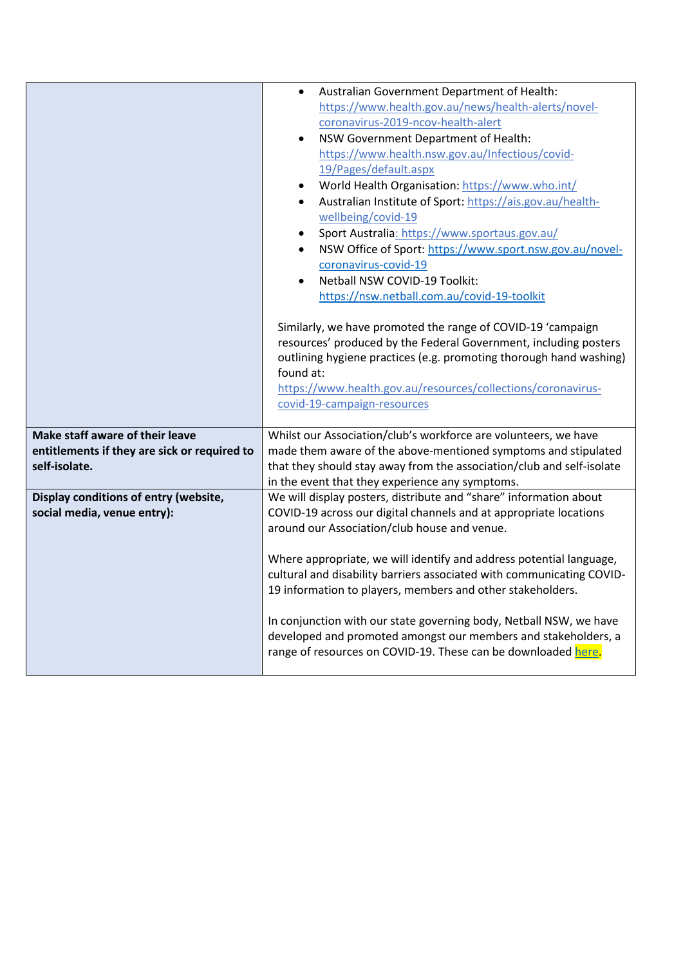|                                              | Australian Government Department of Health:<br>$\bullet$                                                                            |
|----------------------------------------------|-------------------------------------------------------------------------------------------------------------------------------------|
|                                              | https://www.health.gov.au/news/health-alerts/novel-                                                                                 |
|                                              | coronavirus-2019-ncov-health-alert                                                                                                  |
|                                              | NSW Government Department of Health:                                                                                                |
|                                              | https://www.health.nsw.gov.au/Infectious/covid-                                                                                     |
|                                              | 19/Pages/default.aspx                                                                                                               |
|                                              | World Health Organisation: https://www.who.int/                                                                                     |
|                                              | Australian Institute of Sport: https://ais.gov.au/health-                                                                           |
|                                              | wellbeing/covid-19                                                                                                                  |
|                                              | Sport Australia: https://www.sportaus.gov.au/<br>$\bullet$                                                                          |
|                                              | NSW Office of Sport: https://www.sport.nsw.gov.au/novel-                                                                            |
|                                              | coronavirus-covid-19                                                                                                                |
|                                              | Netball NSW COVID-19 Toolkit:                                                                                                       |
|                                              | https://nsw.netball.com.au/covid-19-toolkit                                                                                         |
|                                              |                                                                                                                                     |
|                                              | Similarly, we have promoted the range of COVID-19 'campaign                                                                         |
|                                              | resources' produced by the Federal Government, including posters                                                                    |
|                                              | outlining hygiene practices (e.g. promoting thorough hand washing)                                                                  |
|                                              | found at:                                                                                                                           |
|                                              | https://www.health.gov.au/resources/collections/coronavirus-                                                                        |
|                                              | covid-19-campaign-resources                                                                                                         |
|                                              |                                                                                                                                     |
|                                              |                                                                                                                                     |
| Make staff aware of their leave              | Whilst our Association/club's workforce are volunteers, we have                                                                     |
| entitlements if they are sick or required to | made them aware of the above-mentioned symptoms and stipulated                                                                      |
| self-isolate.                                | that they should stay away from the association/club and self-isolate                                                               |
|                                              | in the event that they experience any symptoms.                                                                                     |
| Display conditions of entry (website,        | We will display posters, distribute and "share" information about                                                                   |
| social media, venue entry):                  | COVID-19 across our digital channels and at appropriate locations                                                                   |
|                                              | around our Association/club house and venue.                                                                                        |
|                                              |                                                                                                                                     |
|                                              | Where appropriate, we will identify and address potential language,                                                                 |
|                                              | cultural and disability barriers associated with communicating COVID-<br>19 information to players, members and other stakeholders. |
|                                              |                                                                                                                                     |
|                                              | In conjunction with our state governing body, Netball NSW, we have                                                                  |
|                                              | developed and promoted amongst our members and stakeholders, a                                                                      |
|                                              | range of resources on COVID-19. These can be downloaded here.                                                                       |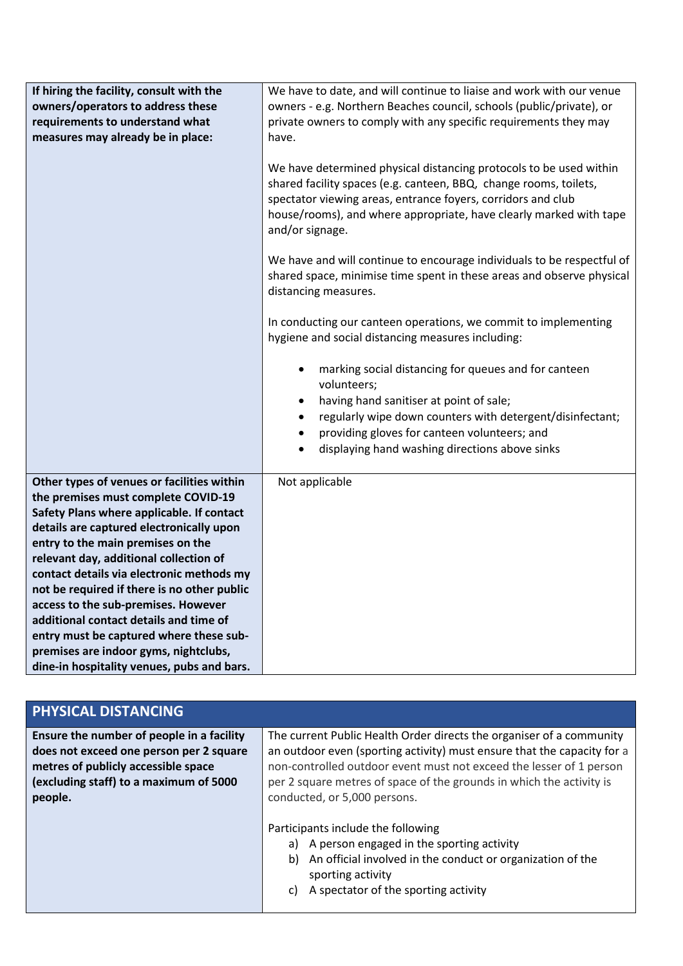| If hiring the facility, consult with the<br>owners/operators to address these<br>requirements to understand what<br>measures may already be in place:                                                                                                                                                                                                                                                                                                                                                                                                                    | We have to date, and will continue to liaise and work with our venue<br>owners - e.g. Northern Beaches council, schools (public/private), or<br>private owners to comply with any specific requirements they may<br>have.<br>We have determined physical distancing protocols to be used within<br>shared facility spaces (e.g. canteen, BBQ, change rooms, toilets,<br>spectator viewing areas, entrance foyers, corridors and club<br>house/rooms), and where appropriate, have clearly marked with tape<br>and/or signage. |
|--------------------------------------------------------------------------------------------------------------------------------------------------------------------------------------------------------------------------------------------------------------------------------------------------------------------------------------------------------------------------------------------------------------------------------------------------------------------------------------------------------------------------------------------------------------------------|-------------------------------------------------------------------------------------------------------------------------------------------------------------------------------------------------------------------------------------------------------------------------------------------------------------------------------------------------------------------------------------------------------------------------------------------------------------------------------------------------------------------------------|
|                                                                                                                                                                                                                                                                                                                                                                                                                                                                                                                                                                          | We have and will continue to encourage individuals to be respectful of<br>shared space, minimise time spent in these areas and observe physical<br>distancing measures.                                                                                                                                                                                                                                                                                                                                                       |
|                                                                                                                                                                                                                                                                                                                                                                                                                                                                                                                                                                          | In conducting our canteen operations, we commit to implementing<br>hygiene and social distancing measures including:                                                                                                                                                                                                                                                                                                                                                                                                          |
|                                                                                                                                                                                                                                                                                                                                                                                                                                                                                                                                                                          | marking social distancing for queues and for canteen<br>$\bullet$<br>volunteers;<br>having hand sanitiser at point of sale;<br>$\bullet$<br>regularly wipe down counters with detergent/disinfectant;<br>$\bullet$<br>providing gloves for canteen volunteers; and<br>$\bullet$<br>displaying hand washing directions above sinks                                                                                                                                                                                             |
| Other types of venues or facilities within<br>the premises must complete COVID-19<br>Safety Plans where applicable. If contact<br>details are captured electronically upon<br>entry to the main premises on the<br>relevant day, additional collection of<br>contact details via electronic methods my<br>not be required if there is no other public<br>access to the sub-premises. However<br>additional contact details and time of<br>entry must be captured where these sub-<br>premises are indoor gyms, nightclubs,<br>dine-in hospitality venues, pubs and bars. | Not applicable                                                                                                                                                                                                                                                                                                                                                                                                                                                                                                                |

| <b>PHYSICAL DISTANCING</b>                                                                                                                                                       |                                                                                                                                                                                                                                                                                                                                                                                                                                                                                                                                                             |
|----------------------------------------------------------------------------------------------------------------------------------------------------------------------------------|-------------------------------------------------------------------------------------------------------------------------------------------------------------------------------------------------------------------------------------------------------------------------------------------------------------------------------------------------------------------------------------------------------------------------------------------------------------------------------------------------------------------------------------------------------------|
| Ensure the number of people in a facility<br>does not exceed one person per 2 square<br>metres of publicly accessible space<br>(excluding staff) to a maximum of 5000<br>people. | The current Public Health Order directs the organiser of a community<br>an outdoor even (sporting activity) must ensure that the capacity for a<br>non-controlled outdoor event must not exceed the lesser of 1 person<br>per 2 square metres of space of the grounds in which the activity is<br>conducted, or 5,000 persons.<br>Participants include the following<br>a) A person engaged in the sporting activity<br>An official involved in the conduct or organization of the<br>b)<br>sporting activity<br>A spectator of the sporting activity<br>C) |
|                                                                                                                                                                                  |                                                                                                                                                                                                                                                                                                                                                                                                                                                                                                                                                             |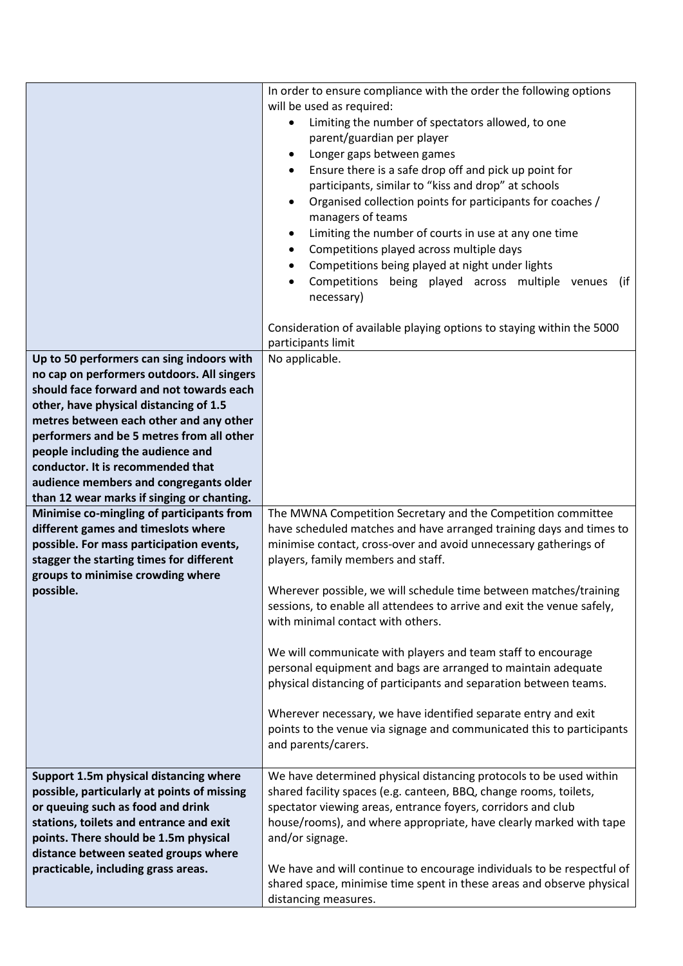|                                                                                                                                                                                                                                                                                                                                                                                                                                         | In order to ensure compliance with the order the following options<br>will be used as required:<br>Limiting the number of spectators allowed, to one<br>$\bullet$<br>parent/guardian per player<br>Longer gaps between games<br>$\bullet$<br>Ensure there is a safe drop off and pick up point for<br>participants, similar to "kiss and drop" at schools<br>Organised collection points for participants for coaches /<br>$\bullet$<br>managers of teams<br>Limiting the number of courts in use at any one time<br>$\bullet$<br>Competitions played across multiple days<br>Competitions being played at night under lights<br>Competitions being played across multiple venues<br>(if<br>$\bullet$<br>necessary)                                                                                       |
|-----------------------------------------------------------------------------------------------------------------------------------------------------------------------------------------------------------------------------------------------------------------------------------------------------------------------------------------------------------------------------------------------------------------------------------------|-----------------------------------------------------------------------------------------------------------------------------------------------------------------------------------------------------------------------------------------------------------------------------------------------------------------------------------------------------------------------------------------------------------------------------------------------------------------------------------------------------------------------------------------------------------------------------------------------------------------------------------------------------------------------------------------------------------------------------------------------------------------------------------------------------------|
|                                                                                                                                                                                                                                                                                                                                                                                                                                         | Consideration of available playing options to staying within the 5000<br>participants limit                                                                                                                                                                                                                                                                                                                                                                                                                                                                                                                                                                                                                                                                                                               |
| Up to 50 performers can sing indoors with<br>no cap on performers outdoors. All singers<br>should face forward and not towards each<br>other, have physical distancing of 1.5<br>metres between each other and any other<br>performers and be 5 metres from all other<br>people including the audience and<br>conductor. It is recommended that<br>audience members and congregants older<br>than 12 wear marks if singing or chanting. | No applicable.                                                                                                                                                                                                                                                                                                                                                                                                                                                                                                                                                                                                                                                                                                                                                                                            |
| Minimise co-mingling of participants from<br>different games and timeslots where<br>possible. For mass participation events,<br>stagger the starting times for different<br>groups to minimise crowding where<br>possible.                                                                                                                                                                                                              | The MWNA Competition Secretary and the Competition committee<br>have scheduled matches and have arranged training days and times to<br>minimise contact, cross-over and avoid unnecessary gatherings of<br>players, family members and staff.<br>Wherever possible, we will schedule time between matches/training<br>sessions, to enable all attendees to arrive and exit the venue safely,<br>with minimal contact with others.<br>We will communicate with players and team staff to encourage<br>personal equipment and bags are arranged to maintain adequate<br>physical distancing of participants and separation between teams.<br>Wherever necessary, we have identified separate entry and exit<br>points to the venue via signage and communicated this to participants<br>and parents/carers. |
| Support 1.5m physical distancing where<br>possible, particularly at points of missing<br>or queuing such as food and drink<br>stations, toilets and entrance and exit<br>points. There should be 1.5m physical<br>distance between seated groups where<br>practicable, including grass areas.                                                                                                                                           | We have determined physical distancing protocols to be used within<br>shared facility spaces (e.g. canteen, BBQ, change rooms, toilets,<br>spectator viewing areas, entrance foyers, corridors and club<br>house/rooms), and where appropriate, have clearly marked with tape<br>and/or signage.<br>We have and will continue to encourage individuals to be respectful of<br>shared space, minimise time spent in these areas and observe physical<br>distancing measures.                                                                                                                                                                                                                                                                                                                               |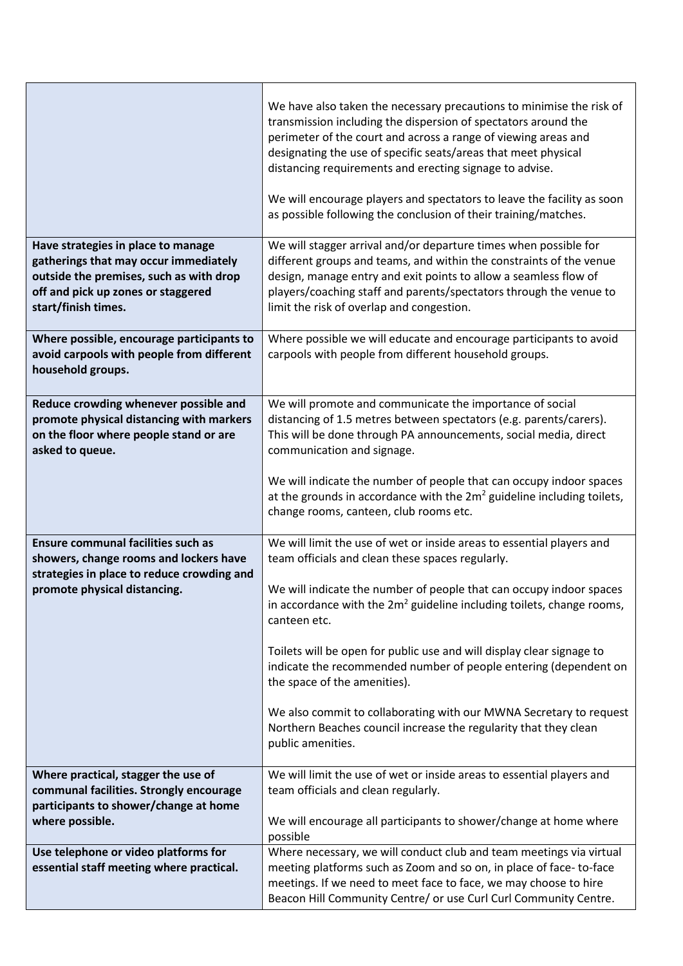|                                                                                                                                                                                     | We have also taken the necessary precautions to minimise the risk of<br>transmission including the dispersion of spectators around the<br>perimeter of the court and across a range of viewing areas and<br>designating the use of specific seats/areas that meet physical<br>distancing requirements and erecting signage to advise.<br>We will encourage players and spectators to leave the facility as soon<br>as possible following the conclusion of their training/matches.                                                                                                                                                       |
|-------------------------------------------------------------------------------------------------------------------------------------------------------------------------------------|------------------------------------------------------------------------------------------------------------------------------------------------------------------------------------------------------------------------------------------------------------------------------------------------------------------------------------------------------------------------------------------------------------------------------------------------------------------------------------------------------------------------------------------------------------------------------------------------------------------------------------------|
| Have strategies in place to manage<br>gatherings that may occur immediately<br>outside the premises, such as with drop<br>off and pick up zones or staggered<br>start/finish times. | We will stagger arrival and/or departure times when possible for<br>different groups and teams, and within the constraints of the venue<br>design, manage entry and exit points to allow a seamless flow of<br>players/coaching staff and parents/spectators through the venue to<br>limit the risk of overlap and congestion.                                                                                                                                                                                                                                                                                                           |
| Where possible, encourage participants to<br>avoid carpools with people from different<br>household groups.                                                                         | Where possible we will educate and encourage participants to avoid<br>carpools with people from different household groups.                                                                                                                                                                                                                                                                                                                                                                                                                                                                                                              |
| Reduce crowding whenever possible and<br>promote physical distancing with markers<br>on the floor where people stand or are<br>asked to queue.                                      | We will promote and communicate the importance of social<br>distancing of 1.5 metres between spectators (e.g. parents/carers).<br>This will be done through PA announcements, social media, direct<br>communication and signage.<br>We will indicate the number of people that can occupy indoor spaces<br>at the grounds in accordance with the $2m^2$ guideline including toilets,<br>change rooms, canteen, club rooms etc.                                                                                                                                                                                                           |
| <b>Ensure communal facilities such as</b><br>showers, change rooms and lockers have<br>strategies in place to reduce crowding and<br>promote physical distancing.                   | We will limit the use of wet or inside areas to essential players and<br>team officials and clean these spaces regularly.<br>We will indicate the number of people that can occupy indoor spaces<br>in accordance with the $2m^2$ guideline including toilets, change rooms,<br>canteen etc.<br>Toilets will be open for public use and will display clear signage to<br>indicate the recommended number of people entering (dependent on<br>the space of the amenities).<br>We also commit to collaborating with our MWNA Secretary to request<br>Northern Beaches council increase the regularity that they clean<br>public amenities. |
| Where practical, stagger the use of<br>communal facilities. Strongly encourage<br>participants to shower/change at home<br>where possible.                                          | We will limit the use of wet or inside areas to essential players and<br>team officials and clean regularly.<br>We will encourage all participants to shower/change at home where<br>possible                                                                                                                                                                                                                                                                                                                                                                                                                                            |
| Use telephone or video platforms for<br>essential staff meeting where practical.                                                                                                    | Where necessary, we will conduct club and team meetings via virtual<br>meeting platforms such as Zoom and so on, in place of face-to-face<br>meetings. If we need to meet face to face, we may choose to hire<br>Beacon Hill Community Centre/ or use Curl Curl Community Centre.                                                                                                                                                                                                                                                                                                                                                        |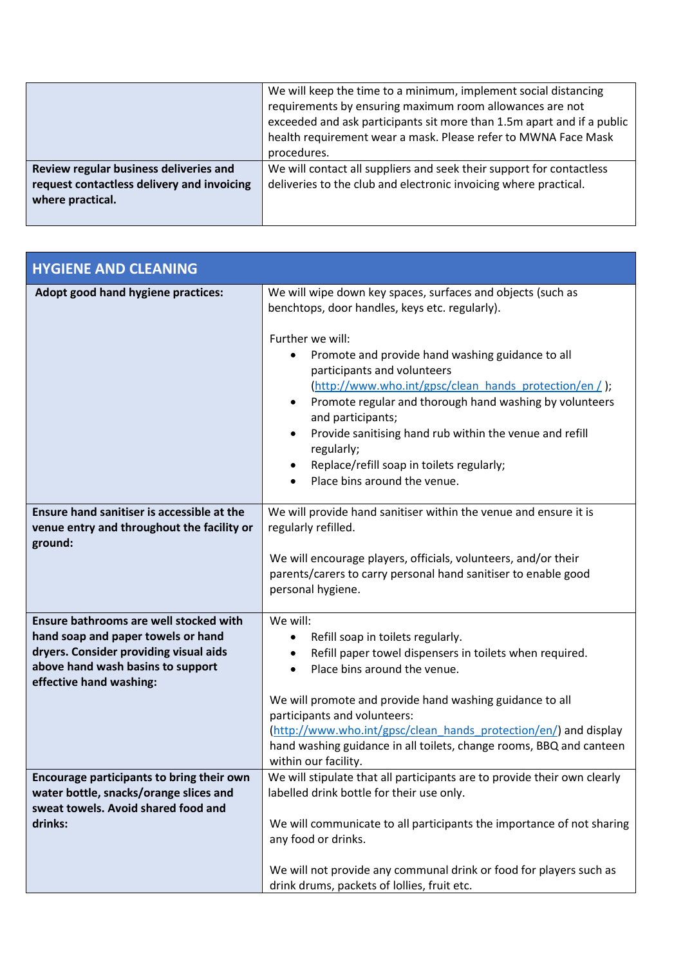|                                            | We will keep the time to a minimum, implement social distancing        |
|--------------------------------------------|------------------------------------------------------------------------|
|                                            | requirements by ensuring maximum room allowances are not               |
|                                            | exceeded and ask participants sit more than 1.5m apart and if a public |
|                                            | health requirement wear a mask. Please refer to MWNA Face Mask         |
|                                            | procedures.                                                            |
| Review regular business deliveries and     | We will contact all suppliers and seek their support for contactless   |
| request contactless delivery and invoicing | deliveries to the club and electronic invoicing where practical.       |
| where practical.                           |                                                                        |
|                                            |                                                                        |

| <b>HYGIENE AND CLEANING</b>                                                                                                                                                            |                                                                                                                                                                                                                                                                                                                                                                                                                                                                                                                       |
|----------------------------------------------------------------------------------------------------------------------------------------------------------------------------------------|-----------------------------------------------------------------------------------------------------------------------------------------------------------------------------------------------------------------------------------------------------------------------------------------------------------------------------------------------------------------------------------------------------------------------------------------------------------------------------------------------------------------------|
| Adopt good hand hygiene practices:                                                                                                                                                     | We will wipe down key spaces, surfaces and objects (such as<br>benchtops, door handles, keys etc. regularly).<br>Further we will:<br>Promote and provide hand washing guidance to all<br>participants and volunteers<br>(http://www.who.int/gpsc/clean_hands_protection/en / );<br>Promote regular and thorough hand washing by volunteers<br>and participants;<br>Provide sanitising hand rub within the venue and refill<br>regularly;<br>Replace/refill soap in toilets regularly;<br>Place bins around the venue. |
| Ensure hand sanitiser is accessible at the<br>venue entry and throughout the facility or<br>ground:                                                                                    | We will provide hand sanitiser within the venue and ensure it is<br>regularly refilled.<br>We will encourage players, officials, volunteers, and/or their<br>parents/carers to carry personal hand sanitiser to enable good<br>personal hygiene.                                                                                                                                                                                                                                                                      |
| Ensure bathrooms are well stocked with<br>hand soap and paper towels or hand<br>dryers. Consider providing visual aids<br>above hand wash basins to support<br>effective hand washing: | We will:<br>Refill soap in toilets regularly.<br>Refill paper towel dispensers in toilets when required.<br>Place bins around the venue.<br>$\bullet$<br>We will promote and provide hand washing guidance to all<br>participants and volunteers:<br>(http://www.who.int/gpsc/clean_hands_protection/en/) and display<br>hand washing guidance in all toilets, change rooms, BBQ and canteen<br>within our facility.                                                                                                  |
| Encourage participants to bring their own<br>water bottle, snacks/orange slices and<br>sweat towels. Avoid shared food and<br>drinks:                                                  | We will stipulate that all participants are to provide their own clearly<br>labelled drink bottle for their use only.<br>We will communicate to all participants the importance of not sharing<br>any food or drinks.<br>We will not provide any communal drink or food for players such as<br>drink drums, packets of lollies, fruit etc.                                                                                                                                                                            |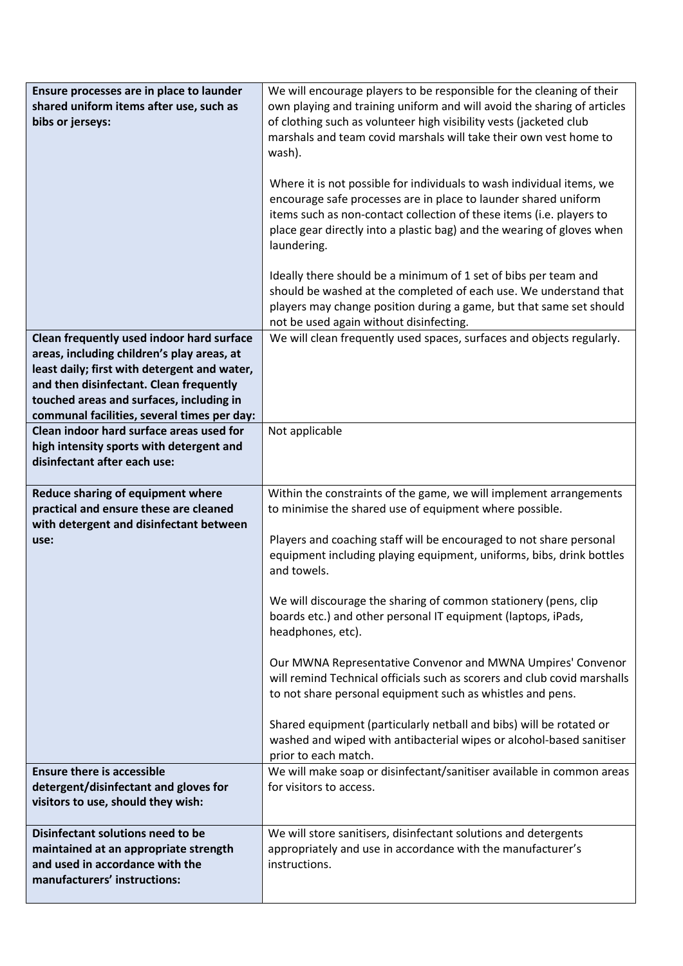| Ensure processes are in place to launder<br>shared uniform items after use, such as<br>bibs or jerseys:                                                                                                                                                                       | We will encourage players to be responsible for the cleaning of their<br>own playing and training uniform and will avoid the sharing of articles<br>of clothing such as volunteer high visibility vests (jacketed club<br>marshals and team covid marshals will take their own vest home to<br>wash).<br>Where it is not possible for individuals to wash individual items, we<br>encourage safe processes are in place to launder shared uniform<br>items such as non-contact collection of these items (i.e. players to<br>place gear directly into a plastic bag) and the wearing of gloves when<br>laundering.<br>Ideally there should be a minimum of 1 set of bibs per team and                                                                                                                                                |
|-------------------------------------------------------------------------------------------------------------------------------------------------------------------------------------------------------------------------------------------------------------------------------|--------------------------------------------------------------------------------------------------------------------------------------------------------------------------------------------------------------------------------------------------------------------------------------------------------------------------------------------------------------------------------------------------------------------------------------------------------------------------------------------------------------------------------------------------------------------------------------------------------------------------------------------------------------------------------------------------------------------------------------------------------------------------------------------------------------------------------------|
|                                                                                                                                                                                                                                                                               | should be washed at the completed of each use. We understand that<br>players may change position during a game, but that same set should<br>not be used again without disinfecting.                                                                                                                                                                                                                                                                                                                                                                                                                                                                                                                                                                                                                                                  |
| Clean frequently used indoor hard surface<br>areas, including children's play areas, at<br>least daily; first with detergent and water,<br>and then disinfectant. Clean frequently<br>touched areas and surfaces, including in<br>communal facilities, several times per day: | We will clean frequently used spaces, surfaces and objects regularly.                                                                                                                                                                                                                                                                                                                                                                                                                                                                                                                                                                                                                                                                                                                                                                |
| Clean indoor hard surface areas used for<br>high intensity sports with detergent and<br>disinfectant after each use:                                                                                                                                                          | Not applicable                                                                                                                                                                                                                                                                                                                                                                                                                                                                                                                                                                                                                                                                                                                                                                                                                       |
| Reduce sharing of equipment where<br>practical and ensure these are cleaned<br>with detergent and disinfectant between<br>use:                                                                                                                                                | Within the constraints of the game, we will implement arrangements<br>to minimise the shared use of equipment where possible.<br>Players and coaching staff will be encouraged to not share personal<br>equipment including playing equipment, uniforms, bibs, drink bottles<br>and towels.<br>We will discourage the sharing of common stationery (pens, clip<br>boards etc.) and other personal IT equipment (laptops, iPads,<br>headphones, etc).<br>Our MWNA Representative Convenor and MWNA Umpires' Convenor<br>will remind Technical officials such as scorers and club covid marshalls<br>to not share personal equipment such as whistles and pens.<br>Shared equipment (particularly netball and bibs) will be rotated or<br>washed and wiped with antibacterial wipes or alcohol-based sanitiser<br>prior to each match. |
| <b>Ensure there is accessible</b><br>detergent/disinfectant and gloves for<br>visitors to use, should they wish:                                                                                                                                                              | We will make soap or disinfectant/sanitiser available in common areas<br>for visitors to access.                                                                                                                                                                                                                                                                                                                                                                                                                                                                                                                                                                                                                                                                                                                                     |
| Disinfectant solutions need to be<br>maintained at an appropriate strength<br>and used in accordance with the<br>manufacturers' instructions:                                                                                                                                 | We will store sanitisers, disinfectant solutions and detergents<br>appropriately and use in accordance with the manufacturer's<br>instructions.                                                                                                                                                                                                                                                                                                                                                                                                                                                                                                                                                                                                                                                                                      |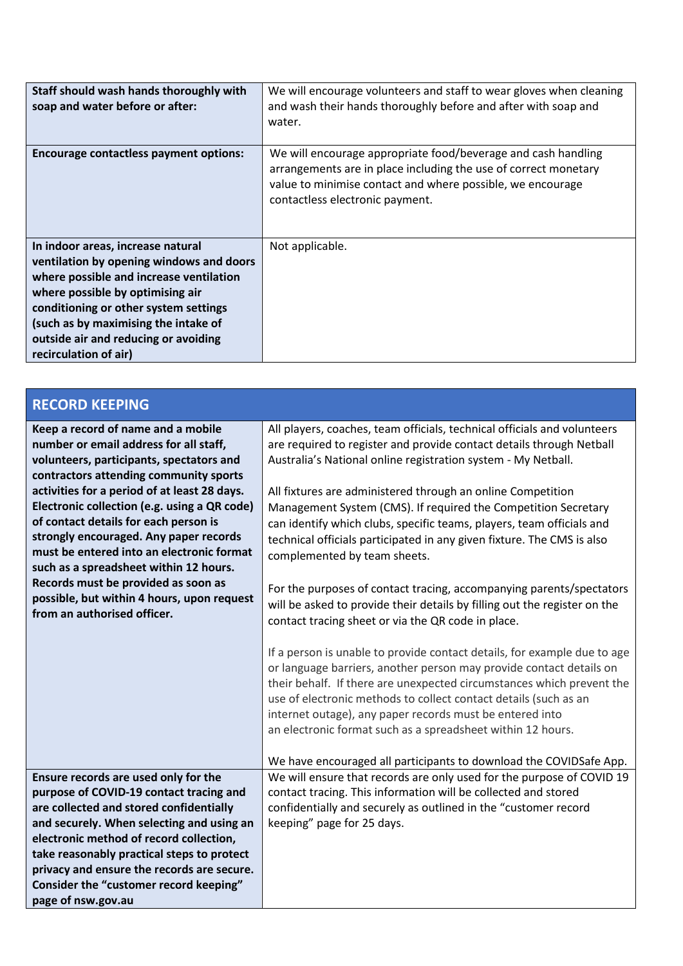| Staff should wash hands thoroughly with<br>soap and water before or after:                                                                                                                                                                                                                                     | We will encourage volunteers and staff to wear gloves when cleaning<br>and wash their hands thoroughly before and after with soap and<br>water.                                                                                   |
|----------------------------------------------------------------------------------------------------------------------------------------------------------------------------------------------------------------------------------------------------------------------------------------------------------------|-----------------------------------------------------------------------------------------------------------------------------------------------------------------------------------------------------------------------------------|
| <b>Encourage contactless payment options:</b>                                                                                                                                                                                                                                                                  | We will encourage appropriate food/beverage and cash handling<br>arrangements are in place including the use of correct monetary<br>value to minimise contact and where possible, we encourage<br>contactless electronic payment. |
| In indoor areas, increase natural<br>ventilation by opening windows and doors<br>where possible and increase ventilation<br>where possible by optimising air<br>conditioning or other system settings<br>(such as by maximising the intake of<br>outside air and reducing or avoiding<br>recirculation of air) | Not applicable.                                                                                                                                                                                                                   |

| <b>RECORD KEEPING</b>                                                                                                                                                                                                        |                                                                                                                                                                                                                                                                                                                                                                                                                         |
|------------------------------------------------------------------------------------------------------------------------------------------------------------------------------------------------------------------------------|-------------------------------------------------------------------------------------------------------------------------------------------------------------------------------------------------------------------------------------------------------------------------------------------------------------------------------------------------------------------------------------------------------------------------|
| Keep a record of name and a mobile<br>number or email address for all staff,<br>volunteers, participants, spectators and<br>contractors attending community sports                                                           | All players, coaches, team officials, technical officials and volunteers<br>are required to register and provide contact details through Netball<br>Australia's National online registration system - My Netball.                                                                                                                                                                                                       |
| activities for a period of at least 28 days.<br>Electronic collection (e.g. using a QR code)<br>of contact details for each person is<br>strongly encouraged. Any paper records<br>must be entered into an electronic format | All fixtures are administered through an online Competition<br>Management System (CMS). If required the Competition Secretary<br>can identify which clubs, specific teams, players, team officials and<br>technical officials participated in any given fixture. The CMS is also<br>complemented by team sheets.                                                                                                        |
| such as a spreadsheet within 12 hours.<br>Records must be provided as soon as<br>possible, but within 4 hours, upon request<br>from an authorised officer.                                                                   | For the purposes of contact tracing, accompanying parents/spectators<br>will be asked to provide their details by filling out the register on the<br>contact tracing sheet or via the QR code in place.                                                                                                                                                                                                                 |
|                                                                                                                                                                                                                              | If a person is unable to provide contact details, for example due to age<br>or language barriers, another person may provide contact details on<br>their behalf. If there are unexpected circumstances which prevent the<br>use of electronic methods to collect contact details (such as an<br>internet outage), any paper records must be entered into<br>an electronic format such as a spreadsheet within 12 hours. |
|                                                                                                                                                                                                                              | We have encouraged all participants to download the COVIDSafe App.                                                                                                                                                                                                                                                                                                                                                      |
| Ensure records are used only for the<br>purpose of COVID-19 contact tracing and                                                                                                                                              | We will ensure that records are only used for the purpose of COVID 19<br>contact tracing. This information will be collected and stored                                                                                                                                                                                                                                                                                 |
| are collected and stored confidentially                                                                                                                                                                                      | confidentially and securely as outlined in the "customer record                                                                                                                                                                                                                                                                                                                                                         |
| and securely. When selecting and using an<br>electronic method of record collection,<br>take reasonably practical steps to protect<br>privacy and ensure the records are secure.                                             | keeping" page for 25 days.                                                                                                                                                                                                                                                                                                                                                                                              |
| Consider the "customer record keeping"<br>page of nsw.gov.au                                                                                                                                                                 |                                                                                                                                                                                                                                                                                                                                                                                                                         |